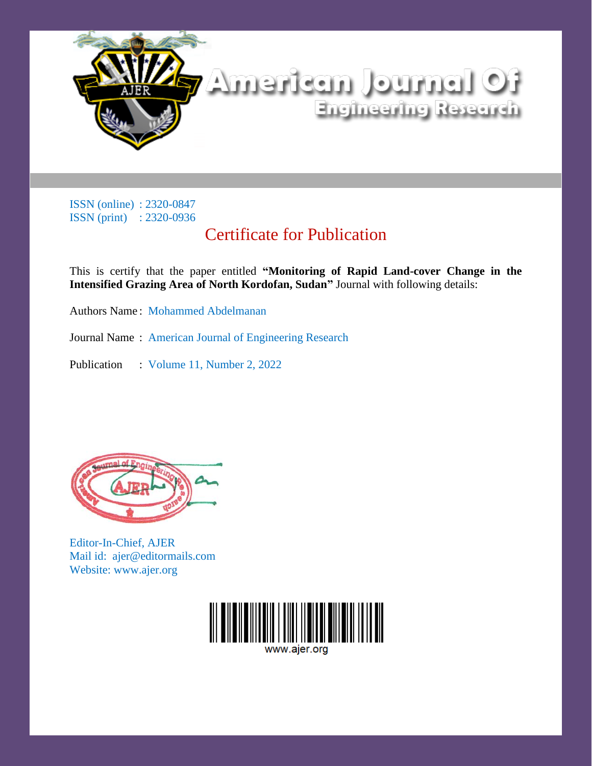

# Certificate for Publication

This is certify that the paper entitled **"Monitoring of Rapid Land-cover Change in the Intensified Grazing Area of North Kordofan, Sudan"** Journal with following details:

Authors Name : Mohammed Abdelmanan

Journal Name : American Journal of Engineering Research

Publication : Volume 11, Number 2, 2022



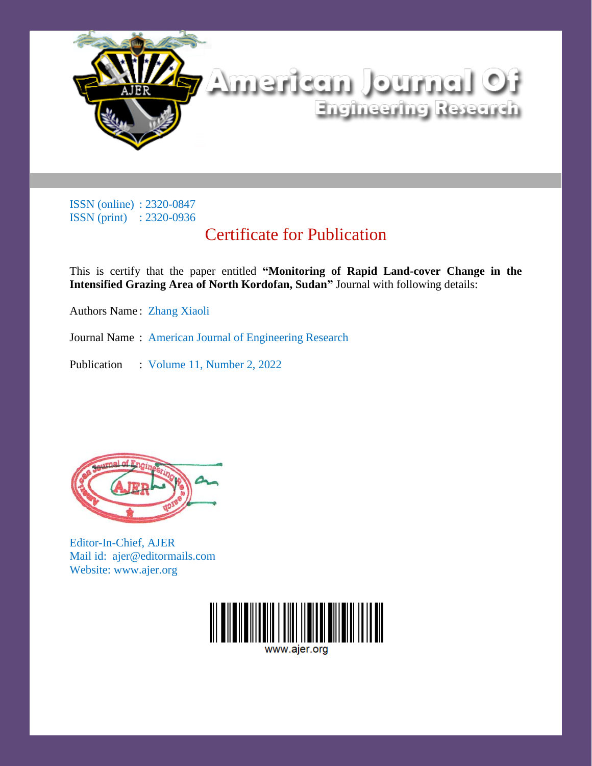

# Certificate for Publication

This is certify that the paper entitled **"Monitoring of Rapid Land-cover Change in the Intensified Grazing Area of North Kordofan, Sudan"** Journal with following details:

Authors Name : Zhang Xiaoli

Journal Name : American Journal of Engineering Research

Publication : Volume 11, Number 2, 2022



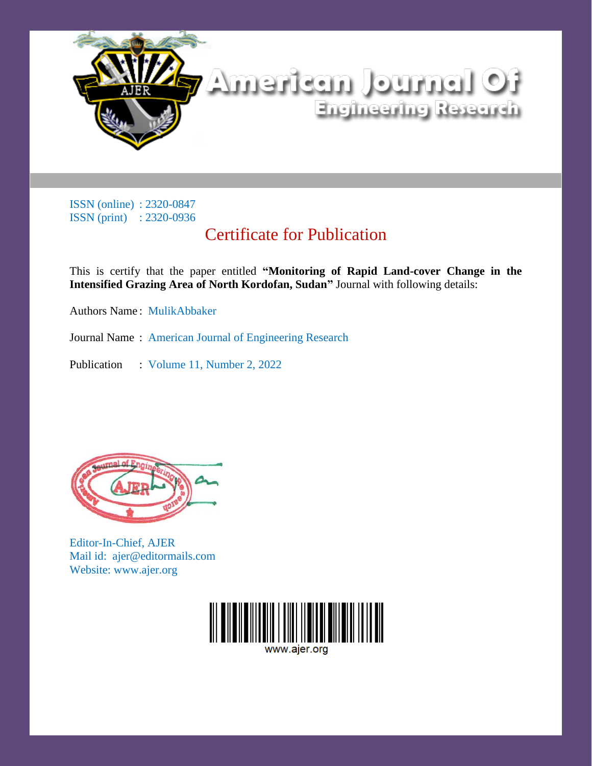

# Certificate for Publication

This is certify that the paper entitled **"Monitoring of Rapid Land-cover Change in the Intensified Grazing Area of North Kordofan, Sudan"** Journal with following details:

Authors Name : MulikAbbaker

Journal Name : American Journal of Engineering Research

Publication : Volume 11, Number 2, 2022



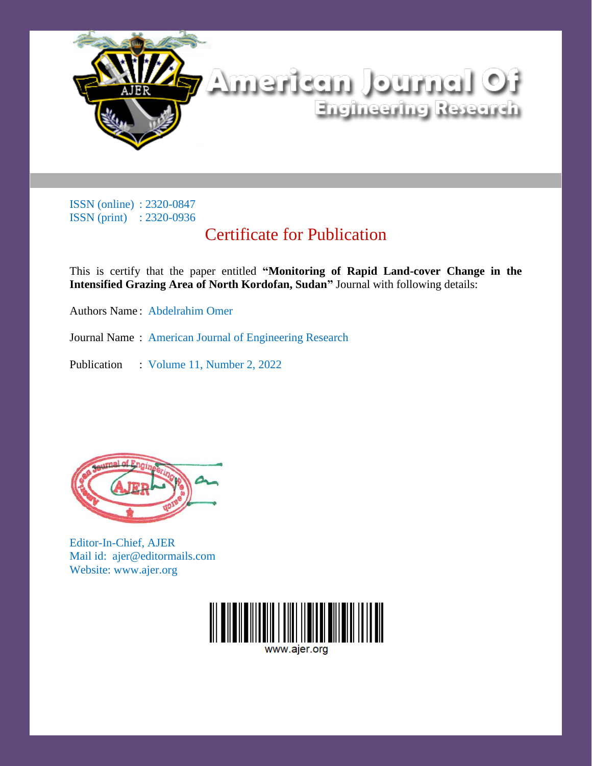

# Certificate for Publication

This is certify that the paper entitled **"Monitoring of Rapid Land-cover Change in the Intensified Grazing Area of North Kordofan, Sudan"** Journal with following details:

Authors Name : Abdelrahim Omer

Journal Name : American Journal of Engineering Research

Publication : Volume 11, Number 2, 2022



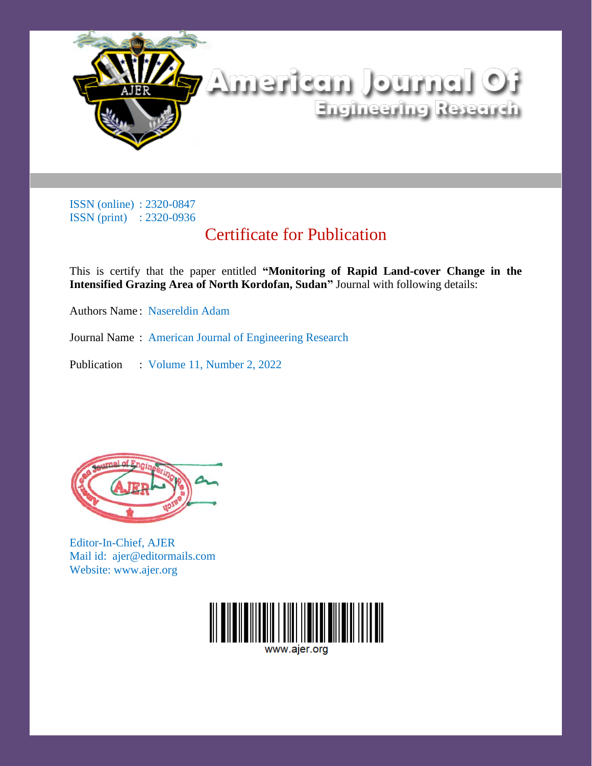

# Certificate for Publication

This is certify that the paper entitled **"Monitoring of Rapid Land-cover Change in the Intensified Grazing Area of North Kordofan, Sudan"** Journal with following details:

Authors Name : Nasereldin Adam

Journal Name : American Journal of Engineering Research

Publication : Volume 11, Number 2, 2022